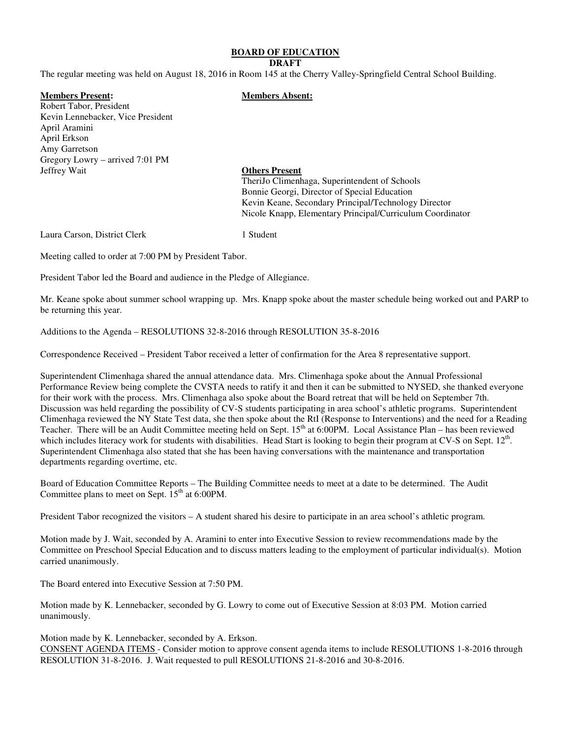# **BOARD OF EDUCATION**

#### **DRAFT**

The regular meeting was held on August 18, 2016 in Room 145 at the Cherry Valley-Springfield Central School Building.

## **Members Present: Members Absent:**

Robert Tabor, President Kevin Lennebacker, Vice President April Aramini April Erkson Amy Garretson Gregory Lowry – arrived 7:01 PM Jeffrey Wait **Others Present**

 TheriJo Climenhaga, Superintendent of Schools Bonnie Georgi, Director of Special Education Kevin Keane, Secondary Principal/Technology Director Nicole Knapp, Elementary Principal/Curriculum Coordinator

Laura Carson, District Clerk 1 Student

Meeting called to order at 7:00 PM by President Tabor.

President Tabor led the Board and audience in the Pledge of Allegiance.

Mr. Keane spoke about summer school wrapping up. Mrs. Knapp spoke about the master schedule being worked out and PARP to be returning this year.

Additions to the Agenda – RESOLUTIONS 32-8-2016 through RESOLUTION 35-8-2016

Correspondence Received – President Tabor received a letter of confirmation for the Area 8 representative support.

Superintendent Climenhaga shared the annual attendance data. Mrs. Climenhaga spoke about the Annual Professional Performance Review being complete the CVSTA needs to ratify it and then it can be submitted to NYSED, she thanked everyone for their work with the process. Mrs. Climenhaga also spoke about the Board retreat that will be held on September 7th. Discussion was held regarding the possibility of CV-S students participating in area school's athletic programs. Superintendent Climenhaga reviewed the NY State Test data, she then spoke about the RtI (Response to Interventions) and the need for a Reading Teacher. There will be an Audit Committee meeting held on Sept.  $15<sup>th</sup>$  at 6:00PM. Local Assistance Plan – has been reviewed which includes literacy work for students with disabilities. Head Start is looking to begin their program at CV-S on Sept.  $12<sup>th</sup>$ . Superintendent Climenhaga also stated that she has been having conversations with the maintenance and transportation departments regarding overtime, etc.

Board of Education Committee Reports – The Building Committee needs to meet at a date to be determined. The Audit Committee plans to meet on Sept.  $15<sup>th</sup>$  at 6:00PM.

President Tabor recognized the visitors – A student shared his desire to participate in an area school's athletic program.

Motion made by J. Wait, seconded by A. Aramini to enter into Executive Session to review recommendations made by the Committee on Preschool Special Education and to discuss matters leading to the employment of particular individual(s). Motion carried unanimously.

The Board entered into Executive Session at 7:50 PM.

Motion made by K. Lennebacker, seconded by G. Lowry to come out of Executive Session at 8:03 PM. Motion carried unanimously.

Motion made by K. Lennebacker, seconded by A. Erkson.

CONSENT AGENDA ITEMS - Consider motion to approve consent agenda items to include RESOLUTIONS 1-8-2016 through RESOLUTION 31-8-2016. J. Wait requested to pull RESOLUTIONS 21-8-2016 and 30-8-2016.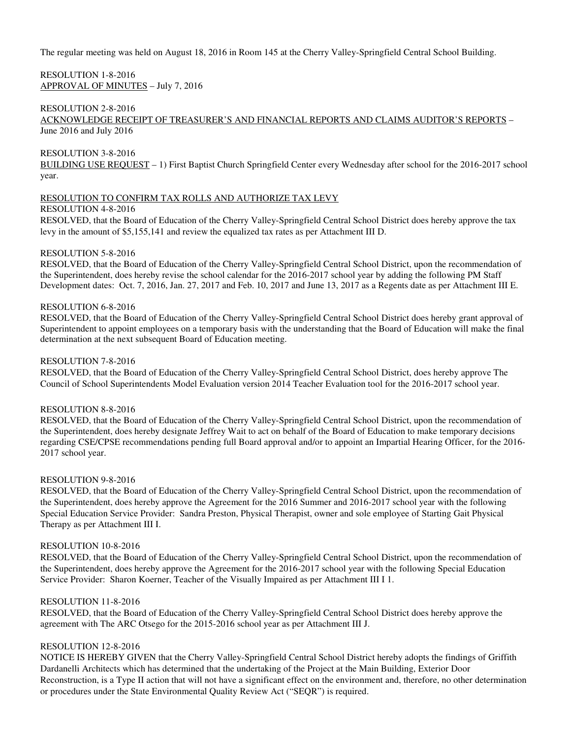# RESOLUTION 1-8-2016 APPROVAL OF MINUTES – July 7, 2016

# RESOLUTION 2-8-2016

ACKNOWLEDGE RECEIPT OF TREASURER'S AND FINANCIAL REPORTS AND CLAIMS AUDITOR'S REPORTS – June 2016 and July 2016

## RESOLUTION 3-8-2016

BUILDING USE REQUEST – 1) First Baptist Church Springfield Center every Wednesday after school for the 2016-2017 school year.

# RESOLUTION TO CONFIRM TAX ROLLS AND AUTHORIZE TAX LEVY

## RESOLUTION 4-8-2016

RESOLVED, that the Board of Education of the Cherry Valley-Springfield Central School District does hereby approve the tax levy in the amount of \$5,155,141 and review the equalized tax rates as per Attachment III D.

## RESOLUTION 5-8-2016

RESOLVED, that the Board of Education of the Cherry Valley-Springfield Central School District, upon the recommendation of the Superintendent, does hereby revise the school calendar for the 2016-2017 school year by adding the following PM Staff Development dates: Oct. 7, 2016, Jan. 27, 2017 and Feb. 10, 2017 and June 13, 2017 as a Regents date as per Attachment III E.

# RESOLUTION 6-8-2016

RESOLVED, that the Board of Education of the Cherry Valley-Springfield Central School District does hereby grant approval of Superintendent to appoint employees on a temporary basis with the understanding that the Board of Education will make the final determination at the next subsequent Board of Education meeting.

## RESOLUTION 7-8-2016

RESOLVED, that the Board of Education of the Cherry Valley-Springfield Central School District, does hereby approve The Council of School Superintendents Model Evaluation version 2014 Teacher Evaluation tool for the 2016-2017 school year.

## RESOLUTION 8-8-2016

RESOLVED, that the Board of Education of the Cherry Valley-Springfield Central School District, upon the recommendation of the Superintendent, does hereby designate Jeffrey Wait to act on behalf of the Board of Education to make temporary decisions regarding CSE/CPSE recommendations pending full Board approval and/or to appoint an Impartial Hearing Officer, for the 2016- 2017 school year.

## RESOLUTION 9-8-2016

RESOLVED, that the Board of Education of the Cherry Valley-Springfield Central School District, upon the recommendation of the Superintendent, does hereby approve the Agreement for the 2016 Summer and 2016-2017 school year with the following Special Education Service Provider: Sandra Preston, Physical Therapist, owner and sole employee of Starting Gait Physical Therapy as per Attachment III I.

# RESOLUTION 10-8-2016

RESOLVED, that the Board of Education of the Cherry Valley-Springfield Central School District, upon the recommendation of the Superintendent, does hereby approve the Agreement for the 2016-2017 school year with the following Special Education Service Provider: Sharon Koerner, Teacher of the Visually Impaired as per Attachment III I 1.

# RESOLUTION 11-8-2016

RESOLVED, that the Board of Education of the Cherry Valley-Springfield Central School District does hereby approve the agreement with The ARC Otsego for the 2015-2016 school year as per Attachment III J.

# RESOLUTION 12-8-2016

NOTICE IS HEREBY GIVEN that the Cherry Valley-Springfield Central School District hereby adopts the findings of Griffith Dardanelli Architects which has determined that the undertaking of the Project at the Main Building, Exterior Door Reconstruction, is a Type II action that will not have a significant effect on the environment and, therefore, no other determination or procedures under the State Environmental Quality Review Act ("SEQR") is required.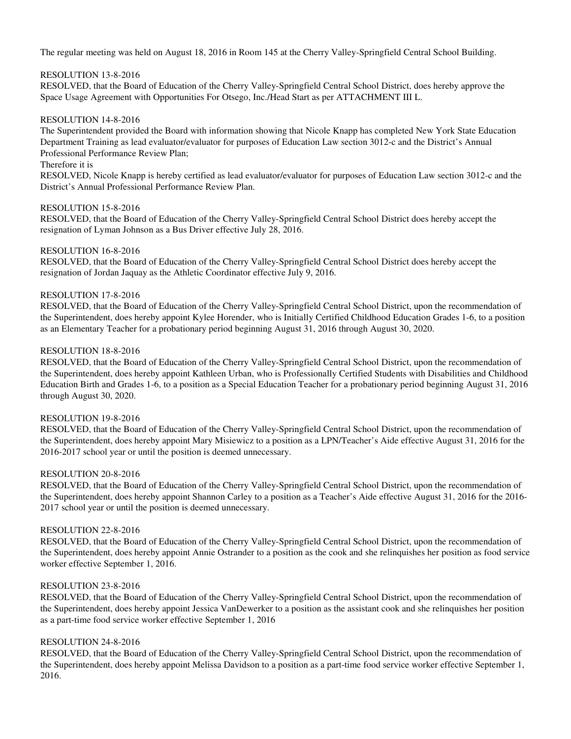# RESOLUTION 13-8-2016

RESOLVED, that the Board of Education of the Cherry Valley-Springfield Central School District, does hereby approve the Space Usage Agreement with Opportunities For Otsego, Inc./Head Start as per ATTACHMENT III L.

## RESOLUTION 14-8-2016

The Superintendent provided the Board with information showing that Nicole Knapp has completed New York State Education Department Training as lead evaluator/evaluator for purposes of Education Law section 3012-c and the District's Annual Professional Performance Review Plan;

# Therefore it is

RESOLVED, Nicole Knapp is hereby certified as lead evaluator/evaluator for purposes of Education Law section 3012-c and the District's Annual Professional Performance Review Plan.

#### RESOLUTION 15-8-2016

RESOLVED, that the Board of Education of the Cherry Valley-Springfield Central School District does hereby accept the resignation of Lyman Johnson as a Bus Driver effective July 28, 2016.

#### RESOLUTION 16-8-2016

RESOLVED, that the Board of Education of the Cherry Valley-Springfield Central School District does hereby accept the resignation of Jordan Jaquay as the Athletic Coordinator effective July 9, 2016.

#### RESOLUTION 17-8-2016

RESOLVED, that the Board of Education of the Cherry Valley-Springfield Central School District, upon the recommendation of the Superintendent, does hereby appoint Kylee Horender, who is Initially Certified Childhood Education Grades 1-6, to a position as an Elementary Teacher for a probationary period beginning August 31, 2016 through August 30, 2020.

#### RESOLUTION 18-8-2016

RESOLVED, that the Board of Education of the Cherry Valley-Springfield Central School District, upon the recommendation of the Superintendent, does hereby appoint Kathleen Urban, who is Professionally Certified Students with Disabilities and Childhood Education Birth and Grades 1-6, to a position as a Special Education Teacher for a probationary period beginning August 31, 2016 through August 30, 2020.

## RESOLUTION 19-8-2016

RESOLVED, that the Board of Education of the Cherry Valley-Springfield Central School District, upon the recommendation of the Superintendent, does hereby appoint Mary Misiewicz to a position as a LPN/Teacher's Aide effective August 31, 2016 for the 2016-2017 school year or until the position is deemed unnecessary.

#### RESOLUTION 20-8-2016

RESOLVED, that the Board of Education of the Cherry Valley-Springfield Central School District, upon the recommendation of the Superintendent, does hereby appoint Shannon Carley to a position as a Teacher's Aide effective August 31, 2016 for the 2016- 2017 school year or until the position is deemed unnecessary.

#### RESOLUTION 22-8-2016

RESOLVED, that the Board of Education of the Cherry Valley-Springfield Central School District, upon the recommendation of the Superintendent, does hereby appoint Annie Ostrander to a position as the cook and she relinquishes her position as food service worker effective September 1, 2016.

#### RESOLUTION 23-8-2016

RESOLVED, that the Board of Education of the Cherry Valley-Springfield Central School District, upon the recommendation of the Superintendent, does hereby appoint Jessica VanDewerker to a position as the assistant cook and she relinquishes her position as a part-time food service worker effective September 1, 2016

## RESOLUTION 24-8-2016

RESOLVED, that the Board of Education of the Cherry Valley-Springfield Central School District, upon the recommendation of the Superintendent, does hereby appoint Melissa Davidson to a position as a part-time food service worker effective September 1, 2016.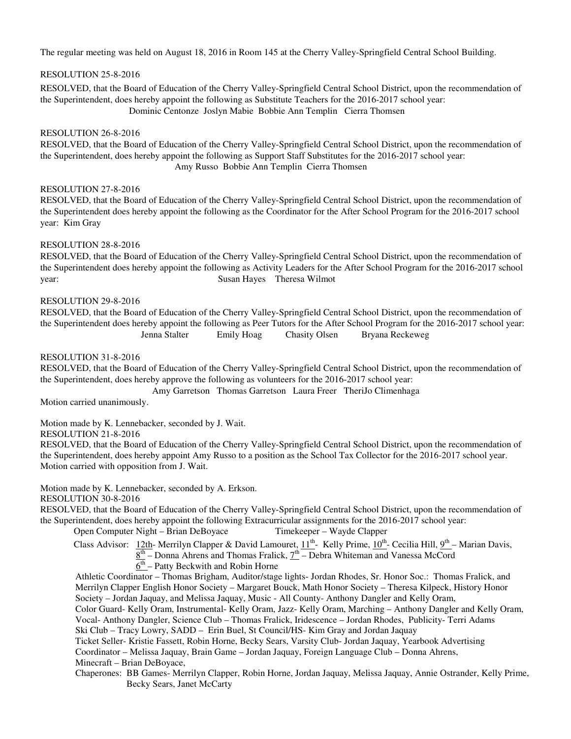# RESOLUTION 25-8-2016

RESOLVED, that the Board of Education of the Cherry Valley-Springfield Central School District, upon the recommendation of the Superintendent, does hereby appoint the following as Substitute Teachers for the 2016-2017 school year: Dominic Centonze Joslyn Mabie Bobbie Ann Templin Cierra Thomsen

#### RESOLUTION 26-8-2016

 RESOLVED, that the Board of Education of the Cherry Valley-Springfield Central School District, upon the recommendation of the Superintendent, does hereby appoint the following as Support Staff Substitutes for the 2016-2017 school year: Amy Russo Bobbie Ann Templin Cierra Thomsen

## RESOLUTION 27-8-2016

RESOLVED, that the Board of Education of the Cherry Valley-Springfield Central School District, upon the recommendation of the Superintendent does hereby appoint the following as the Coordinator for the After School Program for the 2016-2017 school year: Kim Gray

## RESOLUTION 28-8-2016

RESOLVED, that the Board of Education of the Cherry Valley-Springfield Central School District, upon the recommendation of the Superintendent does hereby appoint the following as Activity Leaders for the After School Program for the 2016-2017 school year: Susan Hayes Theresa Wilmot

#### RESOLUTION 29-8-2016

RESOLVED, that the Board of Education of the Cherry Valley-Springfield Central School District, upon the recommendation of the Superintendent does hereby appoint the following as Peer Tutors for the After School Program for the 2016-2017 school year: Jenna Stalter Emily Hoag Chasity Olsen Bryana Reckeweg

### RESOLUTION 31-8-2016

RESOLVED, that the Board of Education of the Cherry Valley-Springfield Central School District, upon the recommendation of the Superintendent, does hereby approve the following as volunteers for the 2016-2017 school year:

Amy Garretson Thomas Garretson Laura Freer TheriJo Climenhaga

Motion carried unanimously.

Motion made by K. Lennebacker, seconded by J. Wait.

## RESOLUTION 21-8-2016

RESOLVED, that the Board of Education of the Cherry Valley-Springfield Central School District, upon the recommendation of the Superintendent, does hereby appoint Amy Russo to a position as the School Tax Collector for the 2016-2017 school year. Motion carried with opposition from J. Wait.

Motion made by K. Lennebacker, seconded by A. Erkson.

RESOLUTION 30-8-2016

RESOLVED, that the Board of Education of the Cherry Valley-Springfield Central School District, upon the recommendation of the Superintendent, does hereby appoint the following Extracurricular assignments for the 2016-2017 school year:

Open Computer Night – Brian DeBoyace Timekeeper – Wayde Clapper

Class Advisor: 12th- Merrilyn Clapper & David Lamouret,  $11^{th}$ - Kelly Prime,  $10^{th}$ - Cecilia Hill,  $9^{th}$ - Marian Davis,

- $8<sup>th</sup>$  Donna Ahrens and Thomas Fralick,  $7<sup>th</sup>$  Debra Whiteman and Vanessa McCord
- $\overline{6^{th}}$  Patty Beckwith and Robin Horne

 Athletic Coordinator – Thomas Brigham, Auditor/stage lights- Jordan Rhodes, Sr. Honor Soc.: Thomas Fralick, and Merrilyn Clapper English Honor Society – Margaret Bouck, Math Honor Society – Theresa Kilpeck, History Honor Society – Jordan Jaquay, and Melissa Jaquay, Music - All County- Anthony Dangler and Kelly Oram,

 Color Guard- Kelly Oram, Instrumental- Kelly Oram, Jazz- Kelly Oram, Marching – Anthony Dangler and Kelly Oram, Vocal- Anthony Dangler, Science Club – Thomas Fralick, Iridescence – Jordan Rhodes, Publicity- Terri Adams Ski Club – Tracy Lowry, SADD – Erin Buel, St Council/HS- Kim Gray and Jordan Jaquay

 Ticket Seller- Kristie Fassett, Robin Horne, Becky Sears, Varsity Club- Jordan Jaquay, Yearbook Advertising Coordinator – Melissa Jaquay, Brain Game – Jordan Jaquay, Foreign Language Club – Donna Ahrens, Minecraft – Brian DeBoyace,

 Chaperones: BB Games- Merrilyn Clapper, Robin Horne, Jordan Jaquay, Melissa Jaquay, Annie Ostrander, Kelly Prime, Becky Sears, Janet McCarty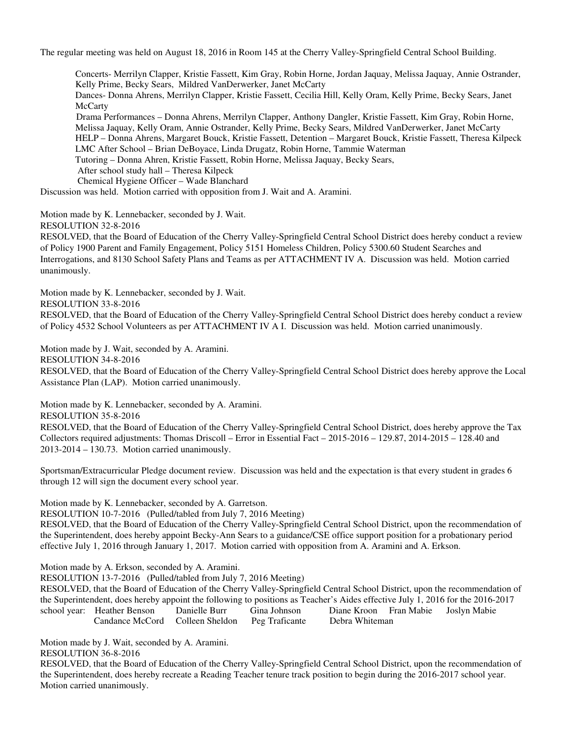Concerts- Merrilyn Clapper, Kristie Fassett, Kim Gray, Robin Horne, Jordan Jaquay, Melissa Jaquay, Annie Ostrander, Kelly Prime, Becky Sears, Mildred VanDerwerker, Janet McCarty Dances- Donna Ahrens, Merrilyn Clapper, Kristie Fassett, Cecilia Hill, Kelly Oram, Kelly Prime, Becky Sears, Janet **McCarty**  Drama Performances – Donna Ahrens, Merrilyn Clapper, Anthony Dangler, Kristie Fassett, Kim Gray, Robin Horne, Melissa Jaquay, Kelly Oram, Annie Ostrander, Kelly Prime, Becky Sears, Mildred VanDerwerker, Janet McCarty HELP – Donna Ahrens, Margaret Bouck, Kristie Fassett, Detention – Margaret Bouck, Kristie Fassett, Theresa Kilpeck LMC After School – Brian DeBoyace, Linda Drugatz, Robin Horne, Tammie Waterman Tutoring – Donna Ahren, Kristie Fassett, Robin Horne, Melissa Jaquay, Becky Sears, After school study hall – Theresa Kilpeck Chemical Hygiene Officer – Wade Blanchard

Discussion was held. Motion carried with opposition from J. Wait and A. Aramini.

Motion made by K. Lennebacker, seconded by J. Wait.

RESOLUTION 32-8-2016

RESOLVED, that the Board of Education of the Cherry Valley-Springfield Central School District does hereby conduct a review of Policy 1900 Parent and Family Engagement, Policy 5151 Homeless Children, Policy 5300.60 Student Searches and Interrogations, and 8130 School Safety Plans and Teams as per ATTACHMENT IV A. Discussion was held. Motion carried unanimously.

Motion made by K. Lennebacker, seconded by J. Wait.

RESOLUTION 33-8-2016

RESOLVED, that the Board of Education of the Cherry Valley-Springfield Central School District does hereby conduct a review of Policy 4532 School Volunteers as per ATTACHMENT IV A I. Discussion was held. Motion carried unanimously.

Motion made by J. Wait, seconded by A. Aramini.

RESOLUTION 34-8-2016

RESOLVED, that the Board of Education of the Cherry Valley-Springfield Central School District does hereby approve the Local Assistance Plan (LAP). Motion carried unanimously.

Motion made by K. Lennebacker, seconded by A. Aramini.

RESOLUTION 35-8-2016

RESOLVED, that the Board of Education of the Cherry Valley-Springfield Central School District, does hereby approve the Tax Collectors required adjustments: Thomas Driscoll – Error in Essential Fact – 2015-2016 – 129.87, 2014-2015 – 128.40 and 2013-2014 – 130.73. Motion carried unanimously.

Sportsman/Extracurricular Pledge document review. Discussion was held and the expectation is that every student in grades 6 through 12 will sign the document every school year.

Motion made by K. Lennebacker, seconded by A. Garretson.

RESOLUTION 10-7-2016 (Pulled/tabled from July 7, 2016 Meeting)

RESOLVED, that the Board of Education of the Cherry Valley-Springfield Central School District, upon the recommendation of the Superintendent, does hereby appoint Becky-Ann Sears to a guidance/CSE office support position for a probationary period effective July 1, 2016 through January 1, 2017. Motion carried with opposition from A. Aramini and A. Erkson.

Motion made by A. Erkson, seconded by A. Aramini.

RESOLUTION 13-7-2016 (Pulled/tabled from July 7, 2016 Meeting)

RESOLVED, that the Board of Education of the Cherry Valley-Springfield Central School District, upon the recommendation of the Superintendent, does hereby appoint the following to positions as Teacher's Aides effective July 1, 2016 for the 2016-2017<br>school year: Heather Benson Danielle Burr Gina Johnson Diane Kroon Fran Mabie Joslyn Mabie school year: Heather Benson Danielle Burr Gina Johnson Diane Kroon Fran Mabie Joslyn Mabie Candance McCord Colleen Sheldon Peg Traficante Debra Whiteman

Motion made by J. Wait, seconded by A. Aramini. RESOLUTION 36-8-2016

RESOLVED, that the Board of Education of the Cherry Valley-Springfield Central School District, upon the recommendation of the Superintendent, does hereby recreate a Reading Teacher tenure track position to begin during the 2016-2017 school year. Motion carried unanimously.